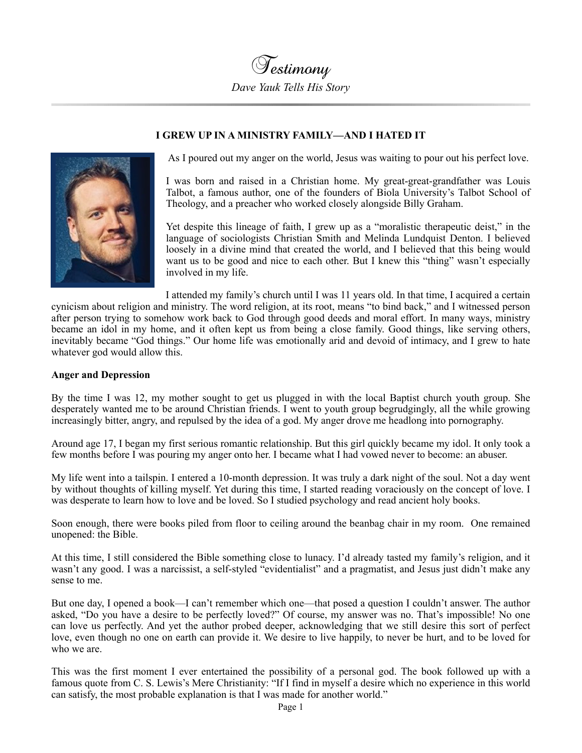

## **I GREW UP IN A MINISTRY FAMILY—AND I HATED IT**



As I poured out my anger on the world, Jesus was waiting to pour out his perfect love.

I was born and raised in a Christian home. My great-great-grandfather was Louis Talbot, a famous author, one of the founders of Biola University's Talbot School of Theology, and a preacher who worked closely alongside Billy Graham.

Yet despite this lineage of faith, I grew up as a "moralistic therapeutic deist," in the language of sociologists Christian Smith and Melinda Lundquist Denton. I believed loosely in a divine mind that created the world, and I believed that this being would want us to be good and nice to each other. But I knew this "thing" wasn't especially involved in my life.

I attended my family's church until I was 11 years old. In that time, I acquired a certain cynicism about religion and ministry. The word religion, at its root, means "to bind back," and I witnessed person after person trying to somehow work back to God through good deeds and moral effort. In many ways, ministry became an idol in my home, and it often kept us from being a close family. Good things, like serving others, inevitably became "God things." Our home life was emotionally arid and devoid of intimacy, and I grew to hate whatever god would allow this.

## **Anger and Depression**

By the time I was 12, my mother sought to get us plugged in with the local Baptist church youth group. She desperately wanted me to be around Christian friends. I went to youth group begrudgingly, all the while growing increasingly bitter, angry, and repulsed by the idea of a god. My anger drove me headlong into pornography.

Around age 17, I began my first serious romantic relationship. But this girl quickly became my idol. It only took a few months before I was pouring my anger onto her. I became what I had vowed never to become: an abuser.

My life went into a tailspin. I entered a 10-month depression. It was truly a dark night of the soul. Not a day went by without thoughts of killing myself. Yet during this time, I started reading voraciously on the concept of love. I was desperate to learn how to love and be loved. So I studied psychology and read ancient holy books.

Soon enough, there were books piled from floor to ceiling around the beanbag chair in my room. One remained unopened: the Bible.

At this time, I still considered the Bible something close to lunacy. I'd already tasted my family's religion, and it wasn't any good. I was a narcissist, a self-styled "evidentialist" and a pragmatist, and Jesus just didn't make any sense to me.

But one day, I opened a book—I can't remember which one—that posed a question I couldn't answer. The author asked, "Do you have a desire to be perfectly loved?" Of course, my answer was no. That's impossible! No one can love us perfectly. And yet the author probed deeper, acknowledging that we still desire this sort of perfect love, even though no one on earth can provide it. We desire to live happily, to never be hurt, and to be loved for who we are.

This was the first moment I ever entertained the possibility of a personal god. The book followed up with a famous quote from C. S. Lewis's Mere Christianity: "If I find in myself a desire which no experience in this world can satisfy, the most probable explanation is that I was made for another world."